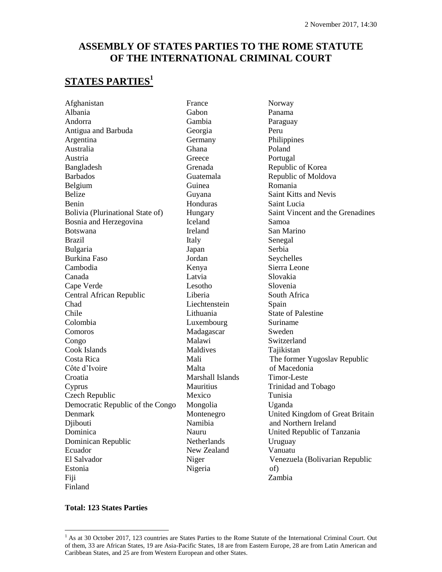## **ASSEMBLY OF STATES PARTIES TO THE ROME STATUTE OF THE INTERNATIONAL CRIMINAL COURT**

## **STATES PARTIES<sup>1</sup>**

[Afghanistan](http://www.icc-cpi.int/asp/statesparties/country&id=41.html) Albania [Andorra](http://www.icc-cpi.int/asp/statesparties/country&id=55.html) [Antigua and Barbuda](http://www.icc-cpi.int/asp/statesparties/country&id=1.html) [Argentina](http://www.icc-cpi.int/asp/statesparties/country&id=24.html) [Australia](http://www.icc-cpi.int/asp/statesparties/country&id=42.html) [Austria](http://www.icc-cpi.int/asp/statesparties/country&id=56.html) Bangladesh [Barbados](http://www.icc-cpi.int/asp/statesparties/country&id=25.html) [Belgium](http://www.icc-cpi.int/asp/statesparties/country&id=57.html) [Belize](http://www.icc-cpi.int/asp/statesparties/country&id=26.html) [Benin](http://www.icc-cpi.int/asp/statesparties/country&id=2.html) [Bolivia](http://www.icc-cpi.int/asp/statesparties/country&id=27.html) (Plurinational State of) [Bosnia and Herzegovina](http://www.icc-cpi.int/asp/statesparties/country&id=58.html) [Botswana](http://www.icc-cpi.int/asp/statesparties/country&id=3.html) [Brazil](http://www.icc-cpi.int/asp/statesparties/country&id=28.html) [Bulgaria](http://www.icc-cpi.int/asp/statesparties/country&id=59.html) [Burkina Faso](http://www.icc-cpi.int/asp/statesparties/country&id=95.html) [Cambodia](http://www.icc-cpi.int/asp/statesparties/country&id=43.html) [Canada](http://www.icc-cpi.int/asp/statesparties/country&id=22.html) Cape Verde [Central African Republic](http://www.icc-cpi.int/asp/statesparties/country&id=4.html) Chad Chile Colombia Comoros [Congo](http://www.icc-cpi.int/asp/statesparties/country&id=96.html) Cook Islands [Costa Rica](http://www.icc-cpi.int/asp/statesparties/country&id=30.html) Côte d'Ivoire **[Croatia](http://www.icc-cpi.int/asp/statesparties/country&id=60.html)** [Cyprus](http://www.icc-cpi.int/asp/statesparties/country&id=61.html) Czech Republic [Democratic Republic of the Congo](http://www.icc-cpi.int/asp/statesparties/country&id=5.html) [Denmark](http://www.icc-cpi.int/asp/statesparties/country&id=62.html) [Djibouti](http://www.icc-cpi.int/asp/statesparties/country&id=6.html) [Dominica](http://www.icc-cpi.int/asp/statesparties/country&id=31.html) [Dominican Republic](http://www.icc-cpi.int/asp/statesparties/country&id=102.html) [Ecuador](http://www.icc-cpi.int/asp/statesparties/country&id=32.html) El Salvador [Estonia](http://www.icc-cpi.int/asp/statesparties/country&id=63.html) [Fiji](http://www.icc-cpi.int/asp/statesparties/country&id=45.html) [Finland](http://www.icc-cpi.int/asp/statesparties/country&id=64.html)

[France](http://www.icc-cpi.int/asp/statesparties/country&id=65.html) [Gabon](http://www.icc-cpi.int/asp/statesparties/country&id=7.html) [Gambia](http://www.icc-cpi.int/asp/statesparties/country&id=8.html) [Georgia](http://www.icc-cpi.int/asp/statesparties/country&id=94.html) [Germany](http://www.icc-cpi.int/asp/statesparties/country&id=66.html) [Ghana](http://www.icc-cpi.int/asp/statesparties/country&id=9.html) **[Greece](http://www.icc-cpi.int/asp/statesparties/country&id=90.html)** Grenada Guatemala [Guinea](http://www.icc-cpi.int/asp/statesparties/country&id=92.html) [Guyana](http://www.icc-cpi.int/asp/statesparties/country&id=100.html) [Honduras](http://www.icc-cpi.int/asp/statesparties/country&id=33.html) [Hungary](http://www.icc-cpi.int/asp/statesparties/country&id=67.html) [Iceland](http://www.icc-cpi.int/asp/statesparties/country&id=68.html) [Ireland](http://www.icc-cpi.int/asp/statesparties/country&id=70.html) [Italy](http://www.icc-cpi.int/asp/statesparties/country&id=69.html) Japan [Jordan](http://www.icc-cpi.int/asp/statesparties/country&id=53.html) [Kenya](http://www.icc-cpi.int/asp/statesparties/country&id=101.html) [Latvia](http://www.icc-cpi.int/asp/statesparties/country&id=71.html) [Lesotho](http://www.icc-cpi.int/asp/statesparties/country&id=10.html) [Liberia](http://www.icc-cpi.int/asp/statesparties/country&id=99.html) [Liechtenstein](http://www.icc-cpi.int/asp/statesparties/country&id=72.html) [Lithuania](http://www.icc-cpi.int/asp/statesparties/country&id=91.html) [Luxembourg](http://www.icc-cpi.int/asp/statesparties/country&id=73.html) Madagascar [Malawi](http://www.icc-cpi.int/asp/statesparties/country&id=89.html) Maldives [Mali](http://www.icc-cpi.int/asp/statesparties/country&id=11.html) [Malta](http://www.icc-cpi.int/asp/statesparties/country&id=75.html) [Marshall Islands](http://www.icc-cpi.int/asp/statesparties/country&id=46.html) [Mauritius](http://www.icc-cpi.int/asp/statesparties/country&id=12.html) [Mexico](http://www.icc-cpi.int/asp/statesparties/country&id=103.html) [Mongolia](http://www.icc-cpi.int/asp/statesparties/country&id=47.html) Montenegro [Namibia](http://www.icc-cpi.int/asp/statesparties/country&id=13.html) [Nauru](http://www.icc-cpi.int/asp/statesparties/country&id=48.html) **[Netherlands](http://www.icc-cpi.int/asp/statesparties/country&id=76.html)** [New Zealand](http://www.icc-cpi.int/asp/statesparties/country&id=49.html) [Niger](http://www.icc-cpi.int/asp/statesparties/country&id=14.html) [Nigeria](http://www.icc-cpi.int/asp/statesparties/country&id=15.html)

[Norway](http://www.icc-cpi.int/asp/statesparties/country&id=77.html) [Panama](http://www.icc-cpi.int/asp/statesparties/country&id=34.html) [Paraguay](http://www.icc-cpi.int/asp/statesparties/country&id=35.html) [Peru](http://www.icc-cpi.int/asp/statesparties/country&id=36.html) Philippines [Poland](http://www.icc-cpi.int/asp/statesparties/country&id=78.html) [Portugal](http://www.icc-cpi.int/asp/statesparties/country&id=79.html) [Republic of Korea](http://www.icc-cpi.int/asp/statesparties/country&id=50.html) Republic of Moldova [Romania](http://www.icc-cpi.int/asp/statesparties/country&id=80.html) Saint Kitts and Nevis Saint Lucia [Saint Vincent and the Grenadines](http://www.icc-cpi.int/asp/statesparties/country&id=37.html) [Samoa](http://www.icc-cpi.int/asp/statesparties/country&id=51.html) [San Marino](http://www.icc-cpi.int/asp/statesparties/country&id=81.html) [Senegal](http://www.icc-cpi.int/asp/statesparties/country&id=16.html) [Serbia](http://www.icc-cpi.int/asp/statesparties/country&id=88.html) Seychelles [Sierra Leone](http://www.icc-cpi.int/asp/statesparties/country&id=17.html) [Slovakia](http://www.icc-cpi.int/asp/statesparties/country&id=82.html) [Slovenia](http://www.icc-cpi.int/asp/statesparties/country&id=83.html) [South Africa](http://www.icc-cpi.int/asp/statesparties/country&id=18.html) [Spain](http://www.icc-cpi.int/asp/statesparties/country&id=84.html) State of Palestine Suriname [Sweden](http://www.icc-cpi.int/asp/statesparties/country&id=85.html) [Switzerland](http://www.icc-cpi.int/asp/statesparties/country&id=86.html) [Tajikistan](http://www.icc-cpi.int/asp/statesparties/country&id=52.html) The former Yugoslav Republic of Macedonia [Timor-Leste](http://www.icc-cpi.int/asp/statesparties/country&id=44.html) [Trinidad and Tobago](http://www.icc-cpi.int/asp/statesparties/country&id=38.html) Tunisia [Uganda](http://www.icc-cpi.int/asp/statesparties/country&id=20.html) [United Kingdom](http://www.icc-cpi.int/asp/statesparties/country&id=87.html) of Great Britain and Northern Ireland [United Republic of Tanzania](http://www.icc-cpi.int/asp/statesparties/country&id=19.html) [Uruguay](http://www.icc-cpi.int/asp/statesparties/country&id=39.html) Vanuatu [Venezuela](http://www.icc-cpi.int/asp/statesparties/country&id=40.html) (Bolivarian Republic of) [Zambia](http://www.icc-cpi.int/asp/statesparties/country&id=21.html)

### **Total: 123 States Parties**

 $\overline{a}$ 

 $<sup>1</sup>$  As at 30 October 2017, 123 countries are States Parties to the Rome Statute of the International Criminal Court. Out</sup> of them, 33 are African States, 19 are Asia-Pacific States, 18 are from Eastern Europe, 28 are from Latin American and Caribbean States, and 25 are from Western European and other States.